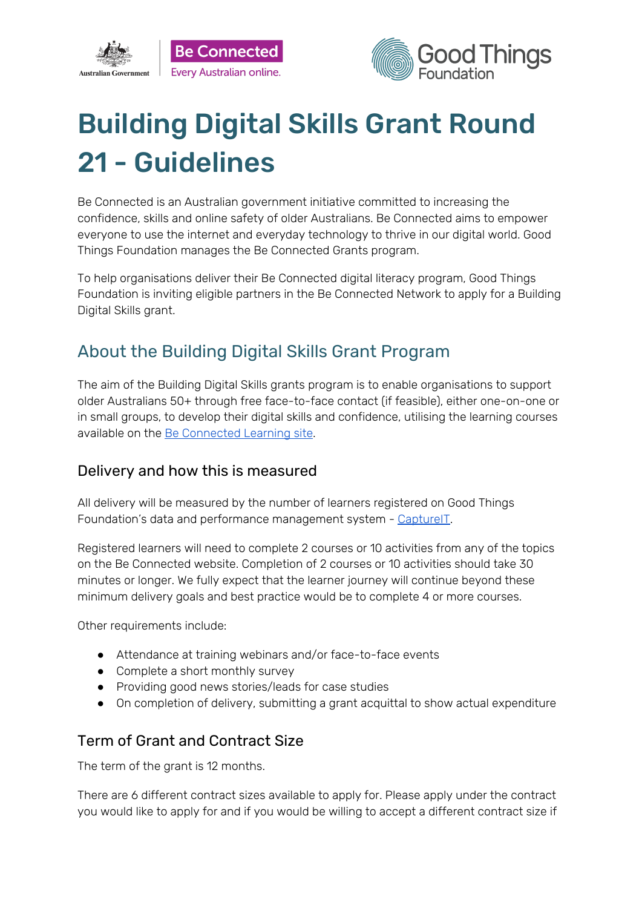



# Building Digital Skills Grant Round 21 - Guidelines

Be Connected is an Australian government initiative committed to increasing the confidence, skills and online safety of older Australians. Be Connected aims to empower everyone to use the internet and everyday technology to thrive in our digital world. Good Things Foundation manages the Be Connected Grants program.

To help organisations deliver their Be Connected digital literacy program, Good Things Foundation is inviting eligible partners in the Be Connected Network to apply for a Building Digital Skills grant.

# About the Building Digital Skills Grant Program

The aim of the Building Digital Skills grants program is to enable organisations to support older Australians 50+ through free face-to-face contact (if feasible), either one-on-one or in small groups, to develop their digital skills and confidence, utilising the learning courses available on the Be [Connected](https://beconnected.esafety.gov.au/topic-library) Learning site.

## Delivery and how this is measured

All delivery will be measured by the number of learners registered on Good Things Foundation's data and performance management system - [CaptureIT.](https://www.beconnectednetwork.org.au/sites/default/files/registering_learners_with_captureit.pdf)

Registered learners will need to complete 2 courses or 10 activities from any of the topics on the Be Connected website. Completion of 2 courses or 10 activities should take 30 minutes or longer. We fully expect that the learner journey will continue beyond these minimum delivery goals and best practice would be to complete 4 or more courses.

Other requirements include:

- Attendance at training webinars and/or face-to-face events
- Complete a short monthly survey
- Providing good news stories/leads for case studies
- On completion of delivery, submitting a grant acquittal to show actual expenditure

## Term of Grant and Contract Size

The term of the grant is 12 months.

There are 6 different contract sizes available to apply for. Please apply under the contract you would like to apply for and if you would be willing to accept a different contract size if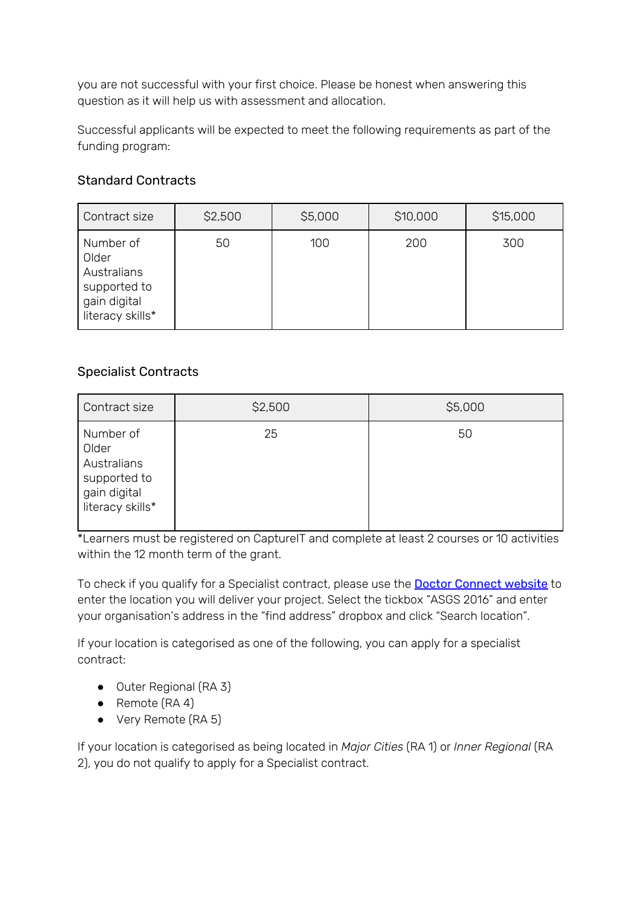you are not successful with your first choice. Please be honest when answering this question as it will help us with assessment and allocation.

Successful applicants will be expected to meet the following requirements as part of the funding program:

### Standard Contracts

| Contract size                                                                         | \$2,500 | \$5,000 | \$10,000 | \$15,000 |
|---------------------------------------------------------------------------------------|---------|---------|----------|----------|
| Number of<br>Older<br>Australians<br>supported to<br>gain digital<br>literacy skills* | 50      | 100     | 200      | 300      |

### Specialist Contracts

| Contract size                                                                         | \$2,500 | \$5,000 |
|---------------------------------------------------------------------------------------|---------|---------|
| Number of<br>Older<br>Australians<br>supported to<br>gain digital<br>literacy skills* | 25      | 50      |

\*Learners must be registered on CaptureIT and complete at least 2 courses or 10 activities within the 12 month term of the grant.

To check if you qualify for a Specialist contract, please use the **Doctor [Connect](https://www.health.gov.au/resources/apps-and-tools/health-workforce-locator/health-workforce-locator) website** to enter the location you will deliver your project. Select the tickbox "ASGS 2016" and enter your organisation's address in the "find address" dropbox and click "Search location".

If your location is categorised as one of the following, you can apply for a specialist contract:

- Outer Regional (RA 3)
- Remote (RA 4)
- Very Remote (RA 5)

If your location is categorised as being located in *Major Cities* (RA 1) or *Inner Regional* (RA 2), you do not qualify to apply for a Specialist contract.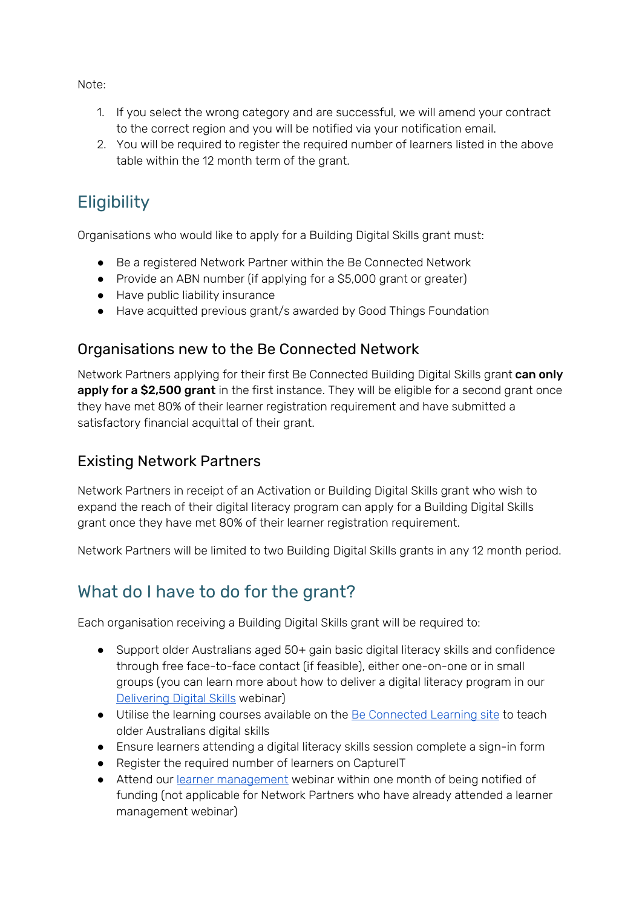Note:

- 1. If you select the wrong category and are successful, we will amend your contract to the correct region and you will be notified via your notification email.
- 2. You will be required to register the required number of learners listed in the above table within the 12 month term of the grant.

# **Eligibility**

Organisations who would like to apply for a Building Digital Skills grant must:

- Be a registered Network Partner within the Be Connected Network
- Provide an ABN number (if applying for a \$5,000 grant or greater)
- Have public liability insurance
- Have acquitted previous grant/s awarded by Good Things Foundation

## Organisations new to the Be Connected Network

Network Partners applying for their first Be Connected Building Digital Skills grant can only apply for a \$2,500 grant in the first instance. They will be eligible for a second grant once they have met 80% of their learner registration requirement and have submitted a satisfactory financial acquittal of their grant.

## Existing Network Partners

Network Partners in receipt of an Activation or Building Digital Skills grant who wish to expand the reach of their digital literacy program can apply for a Building Digital Skills grant once they have met 80% of their learner registration requirement.

Network Partners will be limited to two Building Digital Skills grants in any 12 month period.

# What do I have to do for the grant?

Each organisation receiving a Building Digital Skills grant will be required to:

- Support older Australians aged 50+ gain basic digital literacy skills and confidence through free face-to-face contact (if feasible), either one-on-one or in small groups (you can learn more about how to deliver a digital literacy program in our [Delivering](https://zoom.us/webinar/register/6015796472426/WN_D_OZAjh8S7yT39JoGBvsPg) Digital Skills webinar)
- Utilise the learning courses available on the Be [Connected](https://beconnected.esafety.gov.au/topic-library) Learning site to teach older Australians digital skills
- Ensure learners attending a digital literacy skills session complete a sign-in form
- Register the required number of learners on CaptureIT
- Attend our learner [management](https://zoom.us/webinar/register/6015796471678/WN_J2x9_cS0RFuvUzL_PpWTYw) webinar within one month of being notified of funding (not applicable for Network Partners who have already attended a learner management webinar)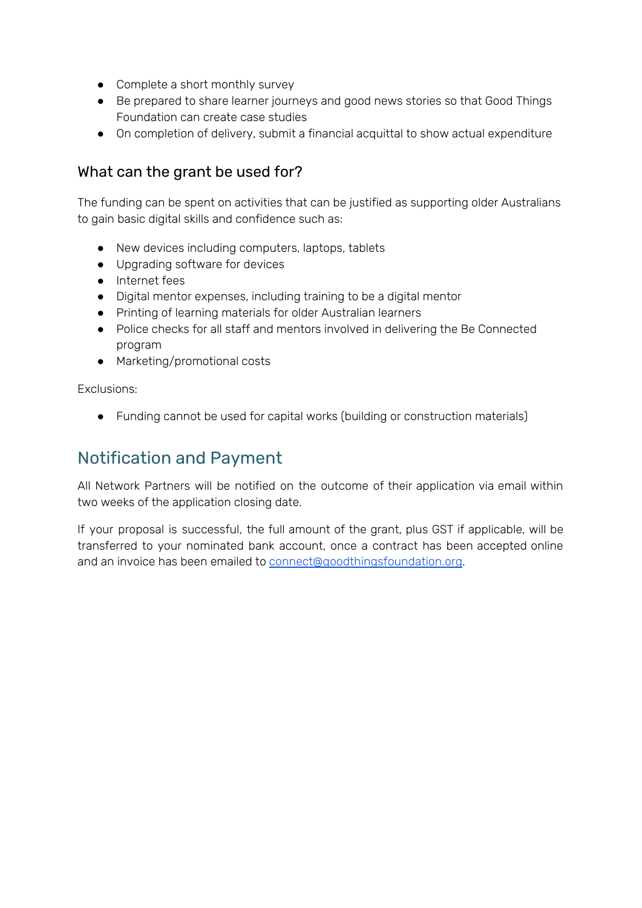- Complete a short monthly survey
- Be prepared to share learner journeys and good news stories so that Good Things Foundation can create case studies
- On completion of delivery, submit a financial acquittal to show actual expenditure

# What can the grant be used for?

The funding can be spent on activities that can be justified as supporting older Australians to gain basic digital skills and confidence such as:

- New devices including computers, laptops, tablets
- Upgrading software for devices
- Internet fees
- Digital mentor expenses, including training to be a digital mentor
- Printing of learning materials for older Australian learners
- Police checks for all staff and mentors involved in delivering the Be Connected program
- Marketing/promotional costs

Exclusions:

● Funding cannot be used for capital works (building or construction materials)

# Notification and Payment

All Network Partners will be notified on the outcome of their application via email within two weeks of the application closing date.

If your proposal is successful, the full amount of the grant, plus GST if applicable, will be transferred to your nominated bank account, once a contract has been accepted online and an invoice has been emailed to [connect@goodthingsfoundation.org](mailto:connect@goodthingsfoundation.org).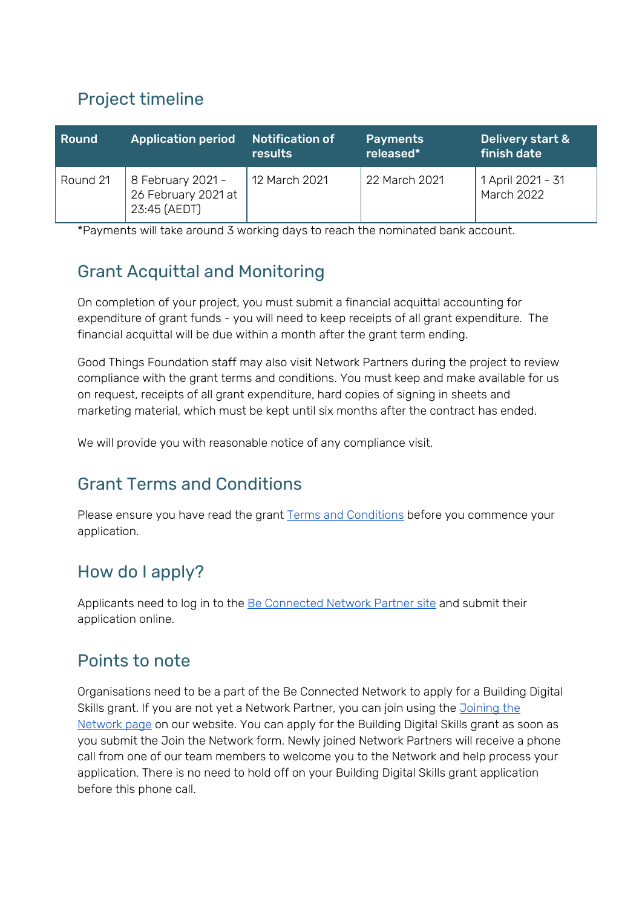# Project timeline

| Round    | <b>Application period</b>                                | <b>Notification of</b><br>results | <b>Payments</b><br>released* | Delivery start &<br>finish date        |
|----------|----------------------------------------------------------|-----------------------------------|------------------------------|----------------------------------------|
| Round 21 | 8 February 2021 -<br>26 February 2021 at<br>23:45 (AEDT) | 12 March 2021                     | 22 March 2021                | 1 April 2021 - 31<br><b>March 2022</b> |

\*Payments will take around 3 working days to reach the nominated bank account.

# Grant Acquittal and Monitoring

On completion of your project, you must submit a financial acquittal accounting for expenditure of grant funds - you will need to keep receipts of all grant expenditure. The financial acquittal will be due within a month after the grant term ending.

Good Things Foundation staff may also visit Network Partners during the project to review compliance with the grant terms and conditions. You must keep and make available for us on request, receipts of all grant expenditure, hard copies of signing in sheets and marketing material, which must be kept until six months after the contract has ended.

We will provide you with reasonable notice of any compliance visit.

# Grant Terms and Conditions

Please ensure you have read the grant Terms and [Conditions](https://www.beconnectednetwork.org.au/sites/default/files/2021-02-02_round_21_-_be_connected_building_digital_skills_2020_21_terms_and_conditions.pdf) before you commence your application.

# How do I apply?

Applicants need to log in to the Be [Connected](https://www.beconnectednetwork.org.au/be-connected-network/apply-for-a-grant) Network Partner site and submit their application online.

# Points to note

Organisations need to be a part of the Be Connected Network to apply for a Building Digital Skills grant. If you are not yet a Network Partner, you can join using the *[Joining](https://www.beconnectednetwork.org.au/join-the-network-step-1) the* [Network](https://www.beconnectednetwork.org.au/join-the-network-step-1) page on our website. You can apply for the Building Digital Skills grant as soon as you submit the Join the Network form. Newly joined Network Partners will receive a phone call from one of our team members to welcome you to the Network and help process your application. There is no need to hold off on your Building Digital Skills grant application before this phone call.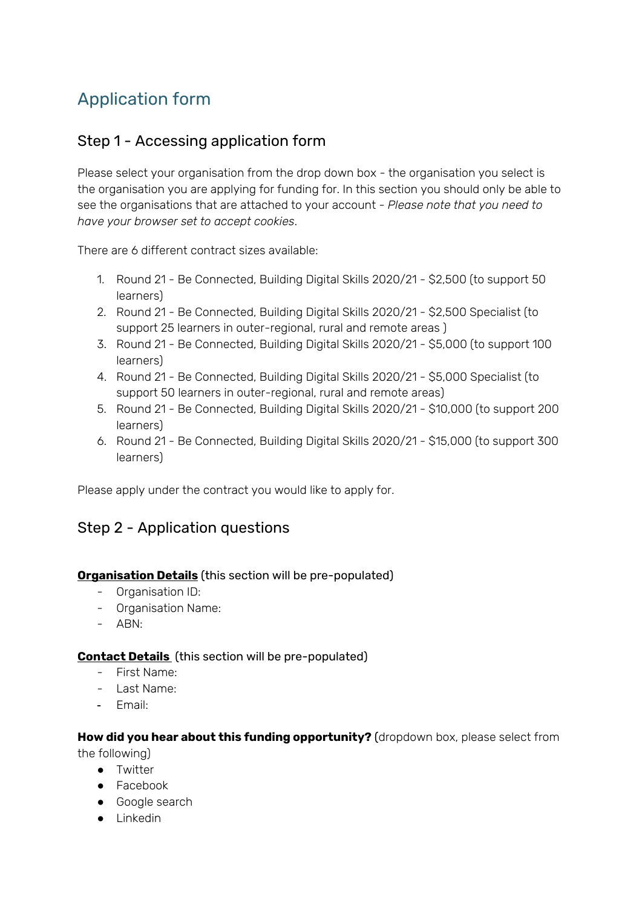# Application form

# Step 1 - Accessing application form

Please select your organisation from the drop down box - the organisation you select is the organisation you are applying for funding for. In this section you should only be able to see the organisations that are attached to your account - *Please note that you need to have your browser set to accept cookies*.

There are 6 different contract sizes available:

- 1. Round 21 Be Connected, Building Digital Skills 2020/21 \$2,500 (to support 50 learners)
- 2. Round 21 Be Connected, Building Digital Skills 2020/21 \$2,500 Specialist (to support 25 learners in outer-regional, rural and remote areas )
- 3. Round 21 Be Connected, Building Digital Skills 2020/21 \$5,000 (to support 100 learners)
- 4. Round 21 Be Connected, Building Digital Skills 2020/21 \$5,000 Specialist (to support 50 learners in outer-regional, rural and remote areas)
- 5. Round 21 Be Connected, Building Digital Skills 2020/21 \$10,000 (to support 200 learners)
- 6. Round 21 Be Connected, Building Digital Skills 2020/21 \$15,000 (to support 300 learners)

Please apply under the contract you would like to apply for.

### Step 2 - Application questions

#### **Organisation Details** (this section will be pre-populated)

- Organisation ID:
- Organisation Name:
- ABN:

#### **Contact Details** (this section will be pre-populated)

- First Name:
- Last Name:
- Email:

#### **How did you hear about this funding opportunity?** (dropdown box, please select from the following)

- Twitter
- Facebook
- Google search
- Linkedin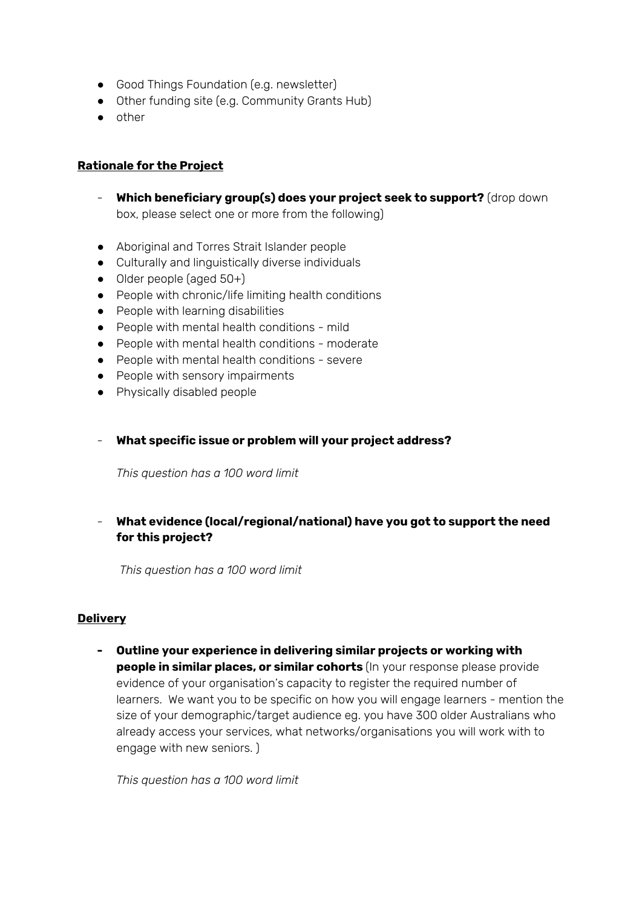- Good Things Foundation (e.g. newsletter)
- Other funding site (e.g. Community Grants Hub)
- other

#### **Rationale for the Project**

- **Which beneficiary group(s) does your project seek to support?** (drop down box, please select one or more from the following)
- Aboriginal and Torres Strait Islander people
- Culturally and linguistically diverse individuals
- $\bullet$  Older people (aged 50+)
- People with chronic/life limiting health conditions
- People with learning disabilities
- People with mental health conditions mild
- People with mental health conditions moderate
- People with mental health conditions severe
- People with sensory impairments
- Physically disabled people
- **What specific issue or problem will your project address?**

*This question has a 100 word limit*

### - **What evidence (local/regional/national) have you got to support the need for this project?**

*This question has a 100 word limit*

#### **Delivery**

**- Outline your experience in delivering similar projects or working with people in similar places, or similar cohorts** (In your response please provide evidence of your organisation's capacity to register the required number of learners. We want you to be specific on how you will engage learners - mention the size of your demographic/target audience eg. you have 300 older Australians who already access your services, what networks/organisations you will work with to engage with new seniors. )

*This question has a 100 word limit*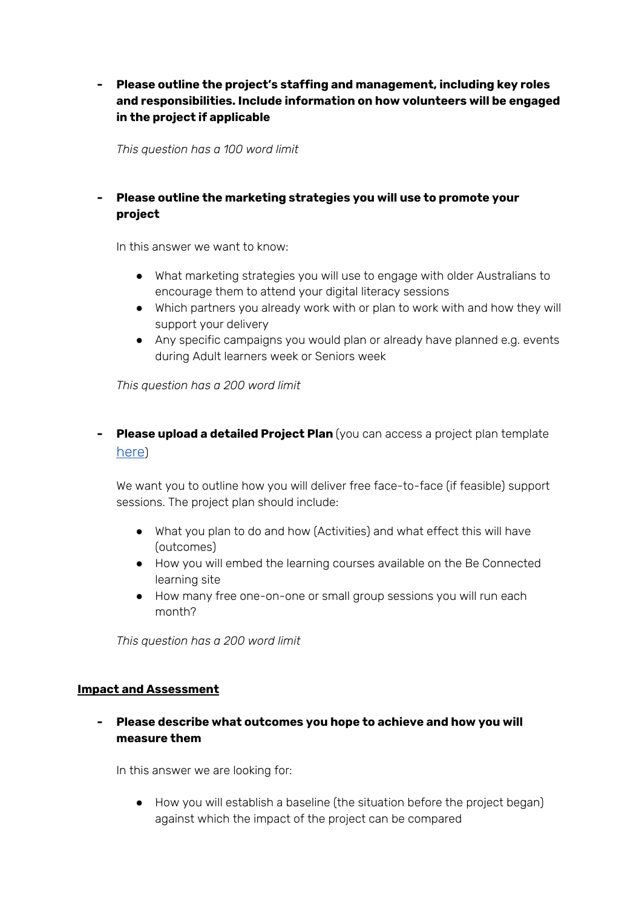### **- Please outline the project's staffing and management, including key roles and responsibilities. Include information on how volunteers will be engaged in the project if applicable**

*This question has a 100 word limit*

### **- Please outline the marketing strategies you will use to promote your project**

In this answer we want to know:

- What marketing strategies you will use to engage with older Australians to encourage them to attend your digital literacy sessions
- Which partners you already work with or plan to work with and how they will support your delivery
- Any specific campaigns you would plan or already have planned e.g. events during Adult learners week or Seniors week

*This question has a 200 word limit*

**- Please upload a detailed Project Plan** (you can access a project plan template [here](https://www.beconnectednetwork.org.au/sites/default/files/project_plan_template_-_building_digital_skills.docx))

We want you to outline how you will deliver free face-to-face (if feasible) support sessions. The project plan should include:

- What you plan to do and how (Activities) and what effect this will have (outcomes)
- How you will embed the learning courses available on the Be Connected learning site
- How many free one-on-one or small group sessions you will run each month?

*This question has a 200 word limit*

#### **Impact and Assessment**

**- Please describe what outcomes you hope to achieve and how you will measure them**

In this answer we are looking for:

● How you will establish a baseline (the situation before the project began) against which the impact of the project can be compared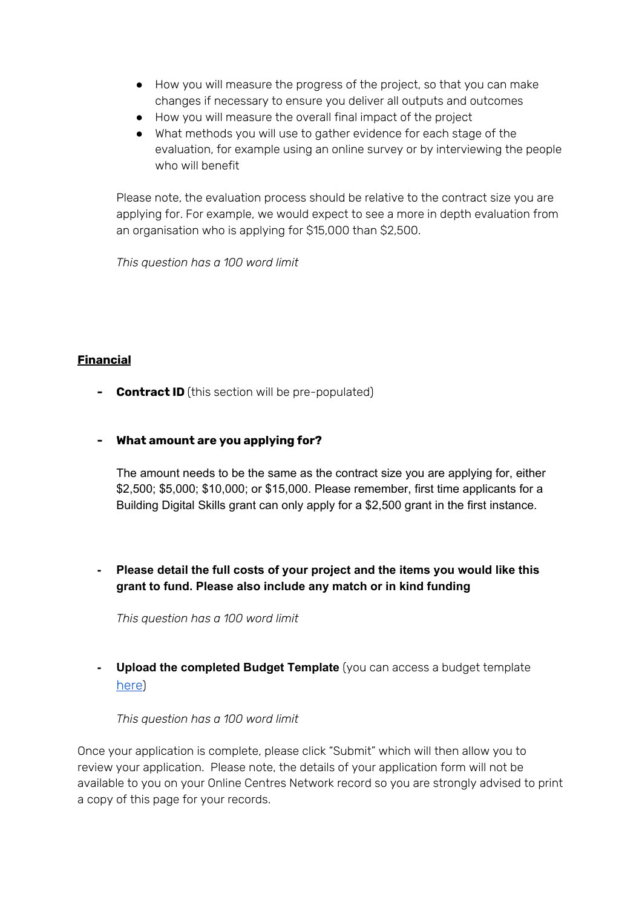- How you will measure the progress of the project, so that you can make changes if necessary to ensure you deliver all outputs and outcomes
- How you will measure the overall final impact of the project
- What methods you will use to gather evidence for each stage of the evaluation, for example using an online survey or by interviewing the people who will benefit

Please note, the evaluation process should be relative to the contract size you are applying for. For example, we would expect to see a more in depth evaluation from an organisation who is applying for \$15,000 than \$2,500.

*This question has a 100 word limit*

### **Financial**

**- Contract ID** (this section will be pre-populated)

#### **- What amount are you applying for?**

The amount needs to be the same as the contract size you are applying for, either \$2,500; \$5,000; \$10,000; or \$15,000. Please remember, first time applicants for a Building Digital Skills grant can only apply for a \$2,500 grant in the first instance.

**- Please detail the full costs of your project and the items you would like this grant to fund. Please also include any match or in kind funding**

*This question has a 100 word limit*

**- Upload the completed Budget Template** (you can access a budget template [here](https://www.beconnectednetwork.org.au/sites/default/files/budget_template_-_building_digital_skills.docx))

#### *This question has a 100 word limit*

Once your application is complete, please click "Submit" which will then allow you to review your application. Please note, the details of your application form will not be available to you on your Online Centres Network record so you are strongly advised to print a copy of this page for your records.